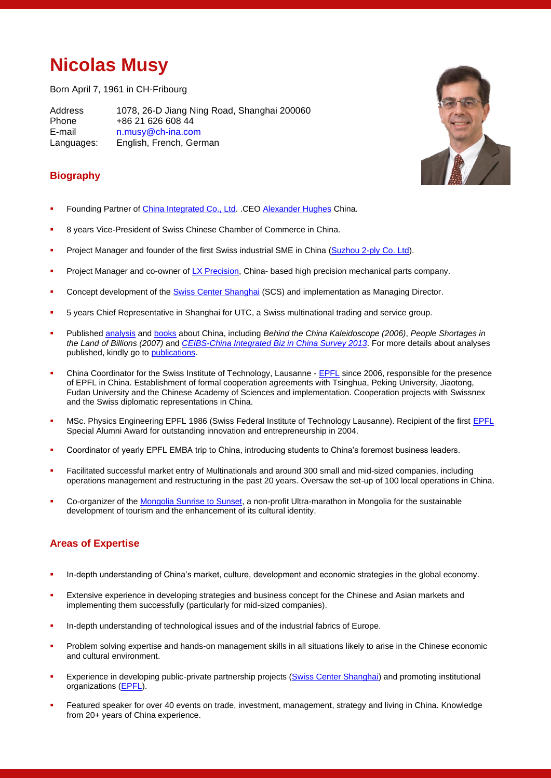# **Nicolas Musy**

Born April 7, 1961 in CH-Fribourg

Address 1078, 26-D Jiang Ning Road, Shanghai 200060 Phone +86 21 626 608 44 E-mail n.musy@ch-ina.com Languages: English, French, German



### **Biography**

- Founding Partner of [China Integrated Co.,](http://www.ch-ina.com/) Ltd. .CEO [Alexander Hughes](http://www.alexanderhughes.com/) China.
- 8 years Vice-President of Swiss Chinese Chamber of Commerce in China.
- Project Manager and founder of the first Swiss industrial SME in China [\(Suzhou 2-ply Co. Ltd\)](http://www.2-ply.com/).
- Project Manager and co-owner o[f LX Precision](http://www.lxprecision.com/), China- based high precision mechanical parts company.
- Concept development of the [Swiss Center Shanghai](http://www.swisscenters.org/) (SCS) and implementation as Managing Director.
- 5 years Chief Representative in Shanghai for UTC, a Swiss multinational trading and service group.
- Published [analysis](http://www.ch-ina.com/Analysis.aspx) an[d books](http://www.ch-ina.com/Books.aspx) about China, including *Behind the China Kaleidoscope (2006)*, *People Shortages in the Land of Billions (2007)* and *[CEIBS-China Integrated Biz in China Survey 2013](http://www.ch-ina.com/Upload/Files/2013%20Swiss%20Business%20in%20China%20Survey.pdf)*. For more details about analyses published, kindly go t[o publications.](http://www.ch-ina.com/Analysis.aspx)
- China Coordinator for the Swiss Institute of Technology, Lausanne [EPFL](http://www.epfl.ch/) since 2006, responsible for the presence of EPFL in China. Establishment of formal cooperation agreements with Tsinghua, Peking University, Jiaotong, Fudan University and the Chinese Academy of Sciences and implementation. Cooperation projects with Swissnex and the Swiss diplomatic representations in China.
- MSc. Physics Engineering [EPFL](http://www.epfl.ch/) 1986 (Swiss Federal Institute of Technology Lausanne). Recipient of the first EPFL Special Alumni Award for outstanding innovation and entrepreneurship in 2004.
- Coordinator of yearly EPFL EMBA trip to China, introducing students to China's foremost business leaders.
- Facilitated successful market entry of Multinationals and around 300 small and mid-sized companies, including operations management and restructuring in the past 20 years. Oversaw the set-up of 100 local operations in China.
- Co-organizer of th[e Mongolia Sunrise to Sunset,](http://ms2s.dk/) a non-profit Ultra-marathon in Mongolia for the sustainable development of tourism and the enhancement of its cultural identity.

#### **Areas of Expertise**

- In-depth understanding of China's market, culture, development and economic strategies in the global economy.
- Extensive experience in developing strategies and business concept for the Chinese and Asian markets and implementing them successfully (particularly for mid-sized companies).
- In-depth understanding of technological issues and of the industrial fabrics of Europe.
- Problem solving expertise and hands-on management skills in all situations likely to arise in the Chinese economic and cultural environment.
- Experience in developing public-private partnership projects [\(Swiss Center Shanghai\)](http://www.swisscenters.org/) and promoting institutional organizations [\(EPFL\)](http://www.epfl.ch/).
- Featured speaker for over 40 events on trade, investment, management, strategy and living in China. Knowledge from 20+ years of China experience.